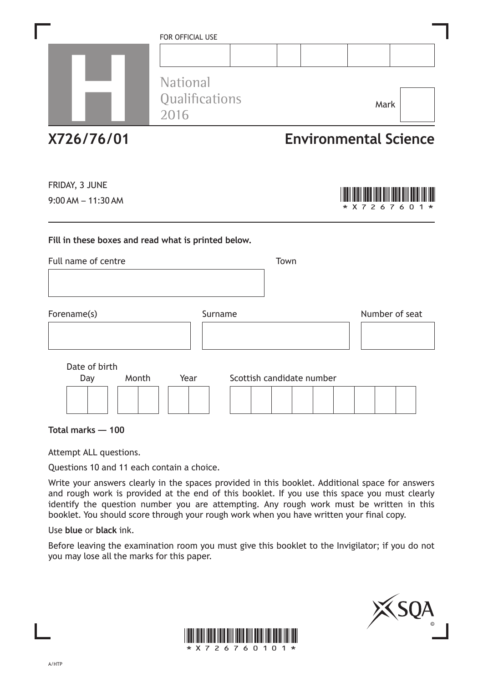|                                                                                    | FOR OFFICIAL USE<br><b>National</b><br>Qualifications<br>2016 |                           |  | Mark                         |     |  |  |
|------------------------------------------------------------------------------------|---------------------------------------------------------------|---------------------------|--|------------------------------|-----|--|--|
| X726/76/01                                                                         |                                                               |                           |  | <b>Environmental Science</b> |     |  |  |
| FRIDAY, 3 JUNE<br>$9:00$ AM $-11:30$ AM                                            |                                                               |                           |  | X 7 2 6 7                    | 6 0 |  |  |
| Fill in these boxes and read what is printed below.<br>Full name of centre<br>Town |                                                               |                           |  |                              |     |  |  |
| Forename(s)                                                                        | Surname                                                       |                           |  | Number of seat               |     |  |  |
| Date of birth<br>Month<br>Day                                                      | Year                                                          | Scottish candidate number |  |                              |     |  |  |

**Total marks — 100**

Attempt ALL questions.

Questions 10 and 11 each contain a choice.

Write your answers clearly in the spaces provided in this booklet. Additional space for answers and rough work is provided at the end of this booklet. If you use this space you must clearly identify the question number you are attempting. Any rough work must be written in this booklet. You should score through your rough work when you have written your final copy.

Use **blue** or **black** ink.

Before leaving the examination room you must give this booklet to the Invigilator; if you do not you may lose all the marks for this paper.



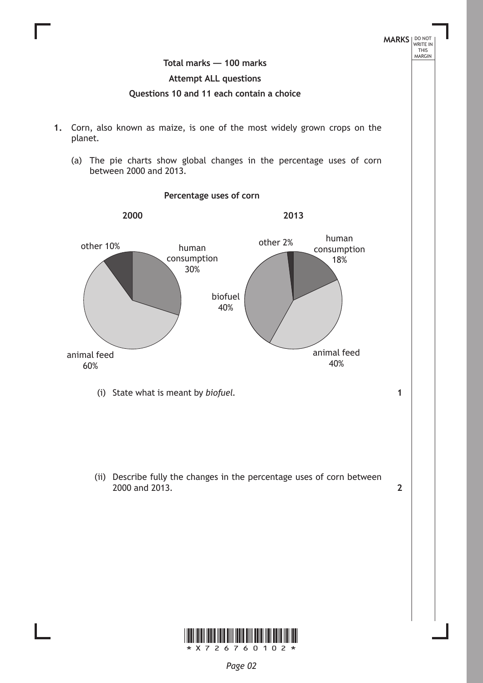

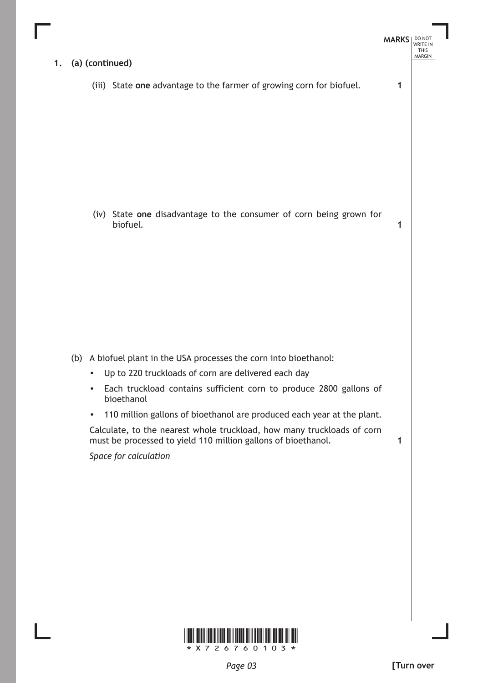

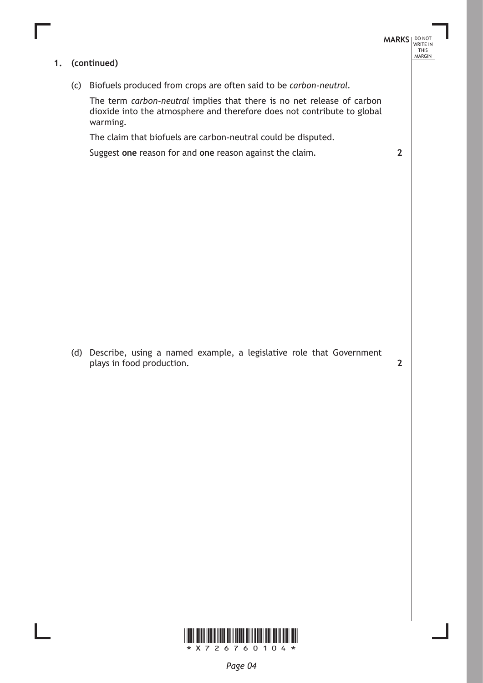#### **1. (continued)**

(c) Biofuels produced from crops are often said to be *carbon-neutral*.

The term *carbon-neutral* implies that there is no net release of carbon dioxide into the atmosphere and therefore does not contribute to global warming.

The claim that biofuels are carbon-neutral could be disputed.

Suggest **one** reason for and **one** reason against the claim.

(d) Describe, using a named example, a legislative role that Government plays in food production.

**2**

**MARKS** NO NOT

**2**

THIS<br>MARGIN

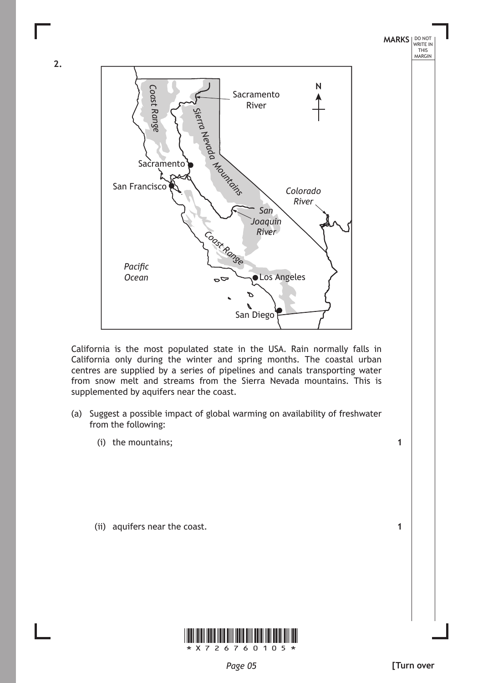

California is the most populated state in the USA. Rain normally falls in California only during the winter and spring months. The coastal urban centres are supplied by a series of pipelines and canals transporting water from snow melt and streams from the Sierra Nevada mountains. This is supplemented by aquifers near the coast.

- (a) Suggest a possible impact of global warming on availability of freshwater from the following:
	- (i) the mountains;

**2.**

(ii) aquifers near the coast.



**1**

**1**

THIS<br>MARGIN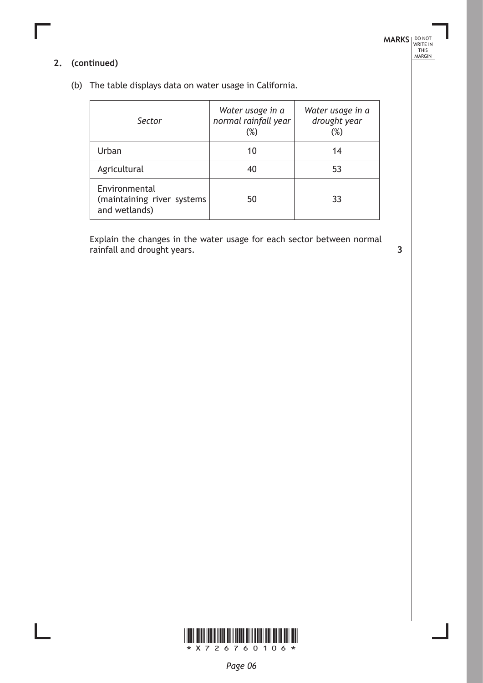## **MARKS DO NOT
WRITE IN** <br>
THIS
MARGIN

## **2. (continued)**

(b) The table displays data on water usage in California.

| Sector                                                       | Water usage in a<br>normal rainfall year<br>$(\%)$ | Water usage in a<br>drought year<br>$(\%)$ |
|--------------------------------------------------------------|----------------------------------------------------|--------------------------------------------|
| Urban                                                        | 10                                                 | 14                                         |
| Agricultural                                                 | 40                                                 | 53                                         |
| Environmental<br>(maintaining river systems<br>and wetlands) | 50                                                 | 33                                         |

Explain the changes in the water usage for each sector between normal rainfall and drought years. **3**

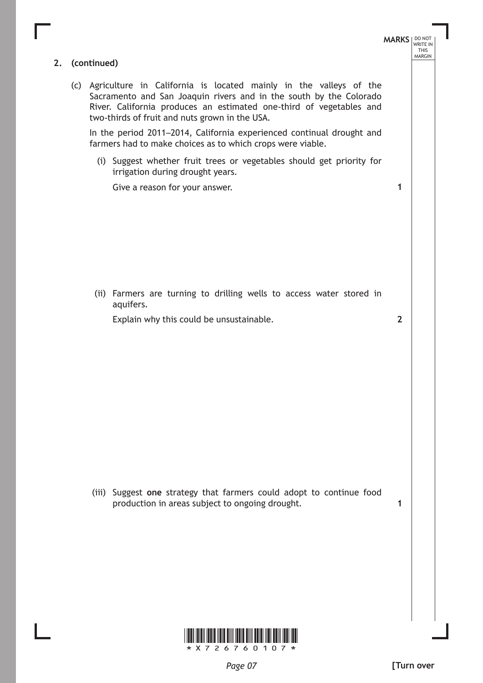**MARKS** NO NOT THIS<br>MARGIN **2. (continued)** (c) Agriculture in California is located mainly in the valleys of the Sacramento and San Joaquin rivers and in the south by the Colorado River. California produces an estimated one-third of vegetables and two-thirds of fruit and nuts grown in the USA. In the period 2011–2014, California experienced continual drought and farmers had to make choices as to which crops were viable. (i) Suggest whether fruit trees or vegetables should get priority for irrigation during drought years. Give a reason for your answer. (ii) Farmers are turning to drilling wells to access water stored in aquifers. Explain why this could be unsustainable. (iii) Suggest **one** strategy that farmers could adopt to continue food production in areas subject to ongoing drought. **1 2 1**

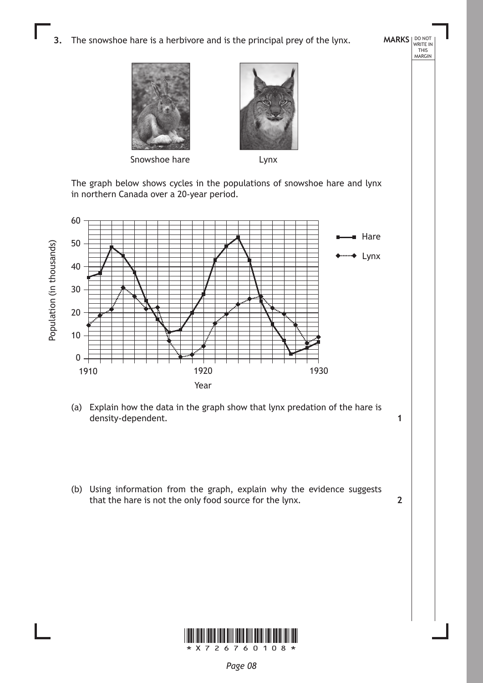**3.** The snowshoe hare is a herbivore and is the principal prey of the lynx.





**MARKS** NO NOT

**1**

**2**

THIS<br>MARGIN

Snowshoe hare **Lynx** 

The graph below shows cycles in the populations of snowshoe hare and lynx in northern Canada over a 20-year period.



- (a) Explain how the data in the graph show that lynx predation of the hare is density-dependent.
- (b) Using information from the graph, explain why the evidence suggests that the hare is not the only food source for the lynx.

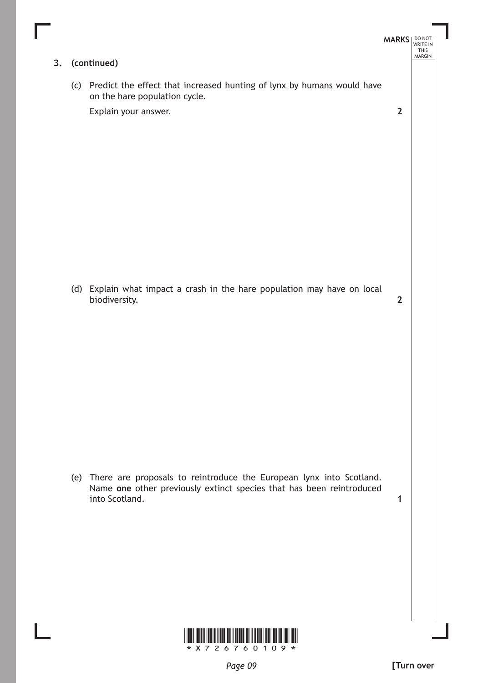

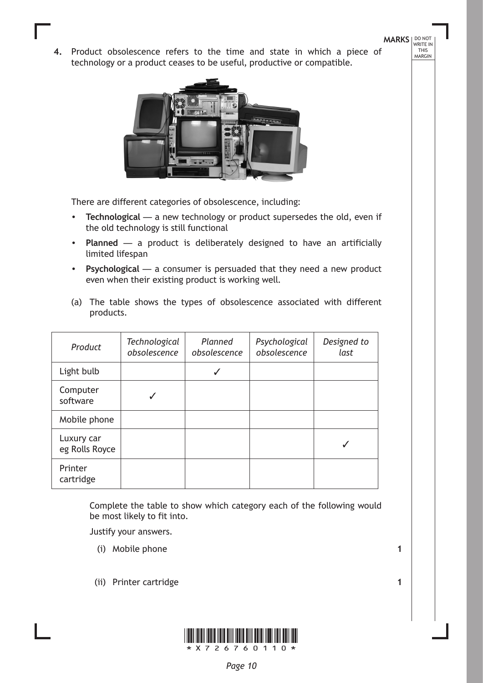**MARKS** NO NOT WRITE IN<br>THIS<br>MARGIN

4. Product obsolescence refers to the time and state in which a piece of technology or a product ceases to be useful, productive or compatible.



There are different categories of obsolescence, including:

- • **Technological** a new technology or product supersedes the old, even if the old technology is still functional
- • **Planned** a product is deliberately designed to have an artificially limited lifespan
- • **Psychological** a consumer is persuaded that they need a new product even when their existing product is working well.
- (a) The table shows the types of obsolescence associated with different products.

| Product                      | <b>Technological</b><br>obsolescence | Planned<br>obsolescence | Psychological<br>obsolescence | Designed to<br>last |
|------------------------------|--------------------------------------|-------------------------|-------------------------------|---------------------|
| Light bulb                   |                                      |                         |                               |                     |
| Computer<br>software         |                                      |                         |                               |                     |
| Mobile phone                 |                                      |                         |                               |                     |
| Luxury car<br>eg Rolls Royce |                                      |                         |                               |                     |
| Printer<br>cartridge         |                                      |                         |                               |                     |

Complete the table to show which category each of the following would be most likely to fit into.

Justify your answers.

- (i) Mobile phone
- (ii) Printer cartridge



**1**

**1**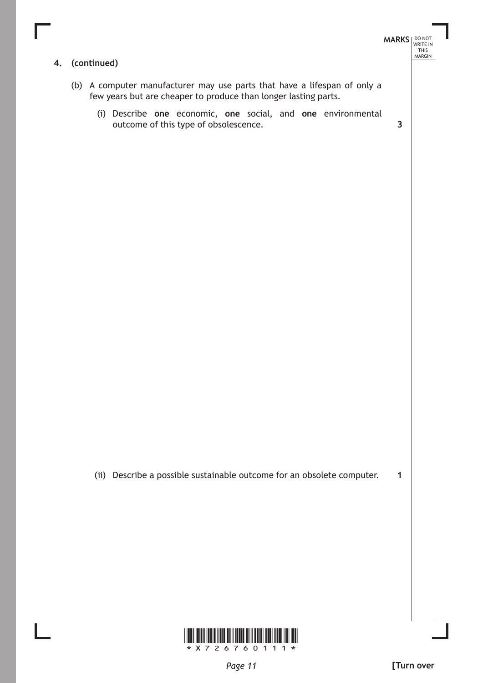

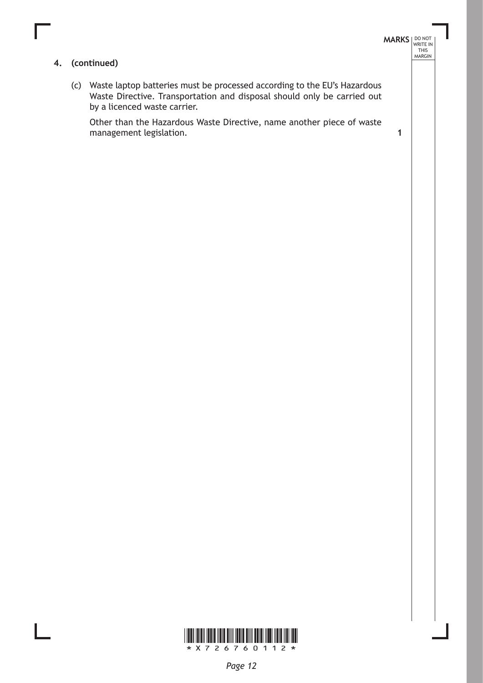#### **4. (continued)**

(c) Waste laptop batteries must be processed according to the EU's Hazardous Waste Directive. Transportation and disposal should only be carried out by a licenced waste carrier.

Other than the Hazardous Waste Directive, name another piece of waste management legislation. **1**

**MARKS DO NOT
WRITE IN** <br>
THIS
MARGIN

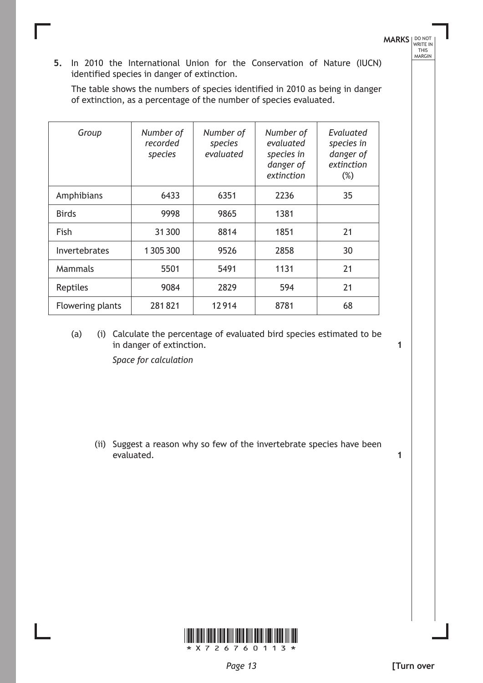**5.** In 2010 the International Union for the Conservation of Nature (IUCN) identified species in danger of extinction.

The table shows the numbers of species identified in 2010 as being in danger of extinction, as a percentage of the number of species evaluated.

| Group            | Number of<br>recorded<br>species | Number of<br>species<br>evaluated | Number of<br>evaluated<br>species in<br>danger of<br>extinction | Evaluated<br>species in<br>danger of<br>extinction<br>$(\%)$ |
|------------------|----------------------------------|-----------------------------------|-----------------------------------------------------------------|--------------------------------------------------------------|
| Amphibians       | 6433                             | 6351                              | 2236                                                            | 35                                                           |
| <b>Birds</b>     | 9998                             | 9865                              | 1381                                                            |                                                              |
| Fish             | 31 300                           | 8814                              | 1851                                                            | 21                                                           |
| Invertebrates    | 1305300                          | 9526                              | 2858                                                            | 30                                                           |
| Mammals          | 5501                             | 5491                              | 1131                                                            | 21                                                           |
| Reptiles         | 9084                             | 2829                              | 594                                                             | 21                                                           |
| Flowering plants | 281821                           | 12914                             | 8781                                                            | 68                                                           |

(a) (i) Calculate the percentage of evaluated bird species estimated to be in danger of extinction.

*Space for calculation*

(ii) Suggest a reason why so few of the invertebrate species have been evaluated.





**MARKS** NO NOT THIS<br>MARGIN

**1**

**1**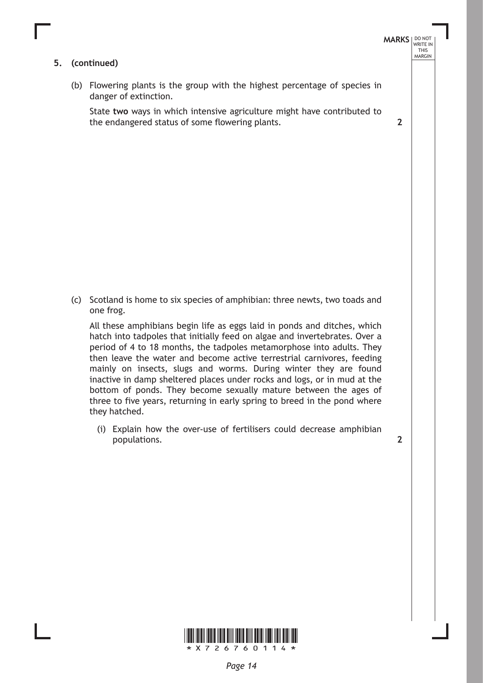#### **5. (continued)**

(b) Flowering plants is the group with the highest percentage of species in danger of extinction.

State **two** ways in which intensive agriculture might have contributed to the endangered status of some flowering plants.

(c) Scotland is home to six species of amphibian: three newts, two toads and one frog.

All these amphibians begin life as eggs laid in ponds and ditches, which hatch into tadpoles that initially feed on algae and invertebrates. Over a period of 4 to 18 months, the tadpoles metamorphose into adults. They then leave the water and become active terrestrial carnivores, feeding mainly on insects, slugs and worms. During winter they are found inactive in damp sheltered places under rocks and logs, or in mud at the bottom of ponds. They become sexually mature between the ages of three to five years, returning in early spring to breed in the pond where they hatched.

(i) Explain how the over-use of fertilisers could decrease amphibian populations.

**2**



**2**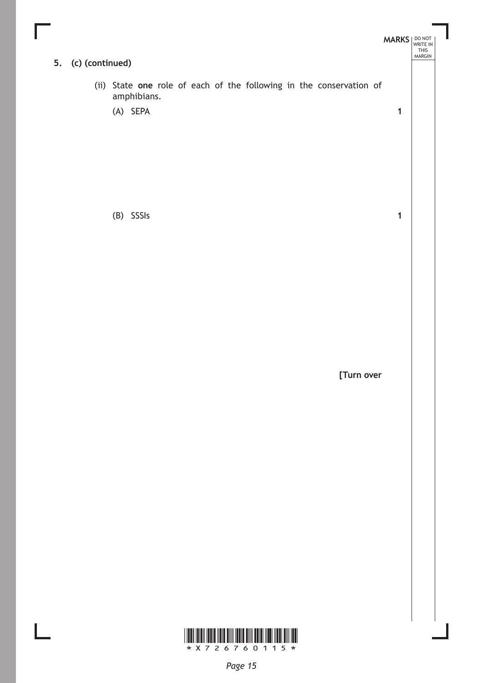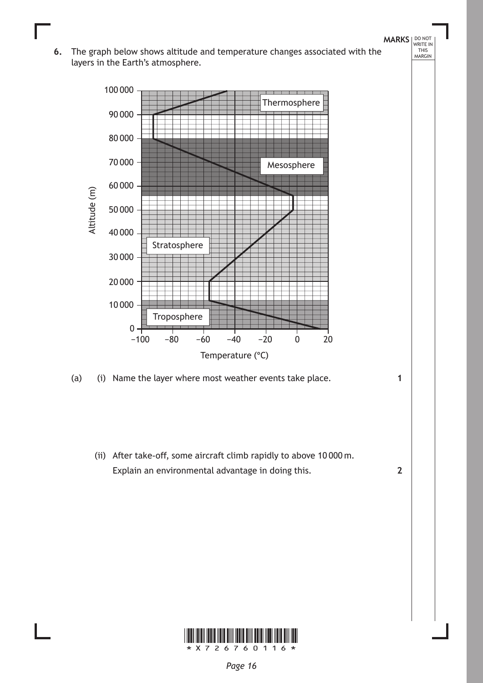**MARKS** WRITE IN 6. The graph below shows altitude and temperature changes associated with the layers in the Earth's atmosphere.



(a) (i) Name the layer where most weather events take place.

 (ii) After take-off, some aircraft climb rapidly to above 10 000 m. Explain an environmental advantage in doing this.



**1**

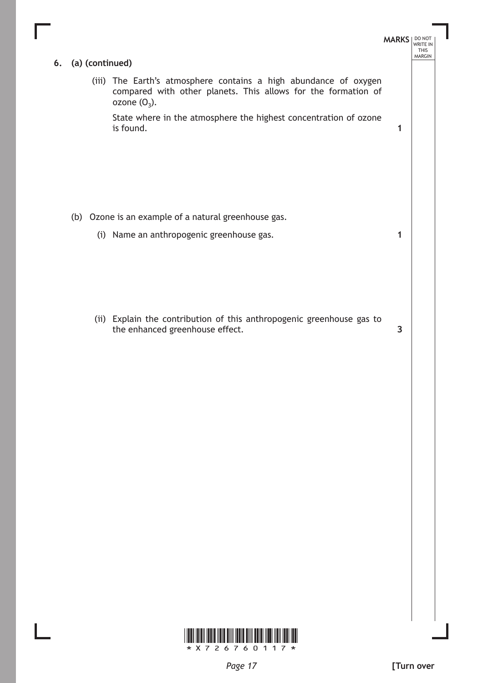|                 |                                                                                                                                                      | <b>MARKS</b> |
|-----------------|------------------------------------------------------------------------------------------------------------------------------------------------------|--------------|
| (a) (continued) |                                                                                                                                                      |              |
|                 | (iii) The Earth's atmosphere contains a high abundance of oxygen<br>compared with other planets. This allows for the formation of<br>ozone $(O_3)$ . |              |
|                 | State where in the atmosphere the highest concentration of ozone<br>is found.                                                                        | 1            |
|                 |                                                                                                                                                      |              |
|                 | (b) Ozone is an example of a natural greenhouse gas.                                                                                                 |              |
|                 | (i) Name an anthropogenic greenhouse gas.                                                                                                            | 1            |
|                 |                                                                                                                                                      |              |
|                 |                                                                                                                                                      |              |
|                 |                                                                                                                                                      |              |
|                 | (ii) Explain the contribution of this anthropogenic greenhouse gas to<br>the enhanced greenhouse effect.                                             | 3            |
|                 |                                                                                                                                                      |              |
|                 |                                                                                                                                                      |              |
|                 |                                                                                                                                                      |              |
|                 |                                                                                                                                                      |              |
|                 |                                                                                                                                                      |              |
|                 |                                                                                                                                                      |              |
|                 |                                                                                                                                                      |              |
|                 |                                                                                                                                                      |              |
|                 |                                                                                                                                                      |              |
|                 |                                                                                                                                                      |              |
|                 |                                                                                                                                                      |              |

Ш

 $\mathbf{L}$ 

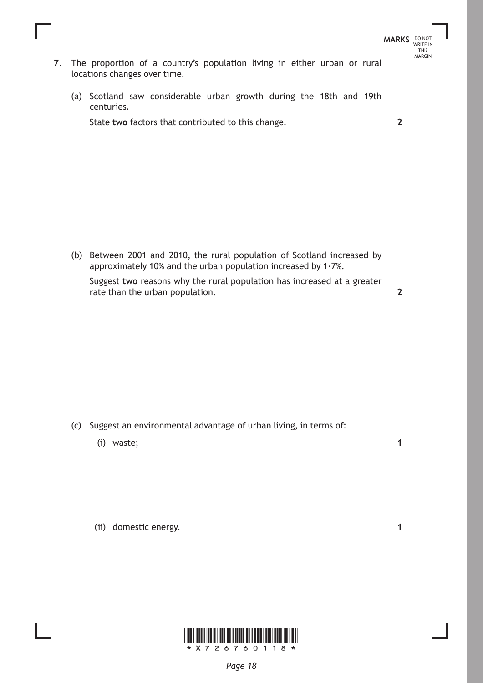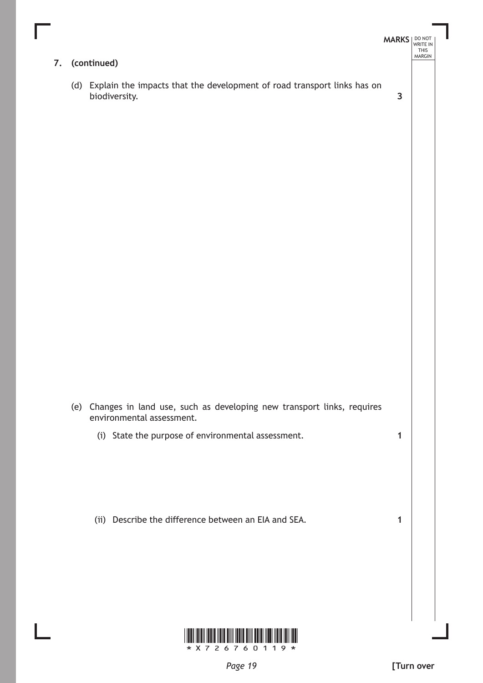|    |                                                                                                        | <b>MARKS</b> | DO NOT<br>WRITE IN<br><b>THIS</b><br>MARGIN |
|----|--------------------------------------------------------------------------------------------------------|--------------|---------------------------------------------|
| 7. | (continued)                                                                                            |              |                                             |
|    | (d) Explain the impacts that the development of road transport links has on<br>biodiversity.           | $\mathbf{3}$ |                                             |
|    |                                                                                                        |              |                                             |
|    |                                                                                                        |              |                                             |
|    |                                                                                                        |              |                                             |
|    |                                                                                                        |              |                                             |
|    |                                                                                                        |              |                                             |
|    |                                                                                                        |              |                                             |
|    |                                                                                                        |              |                                             |
|    | (e) Changes in land use, such as developing new transport links, requires<br>environmental assessment. |              |                                             |
|    | (i) State the purpose of environmental assessment.                                                     | $\mathbf{1}$ |                                             |
|    | (ii) Describe the difference between an EIA and SEA.                                                   | 1            |                                             |
|    |                                                                                                        |              |                                             |
|    |                                                                                                        |              |                                             |
|    |                                                                                                        |              |                                             |

Г

L



 $\overline{\phantom{a}}$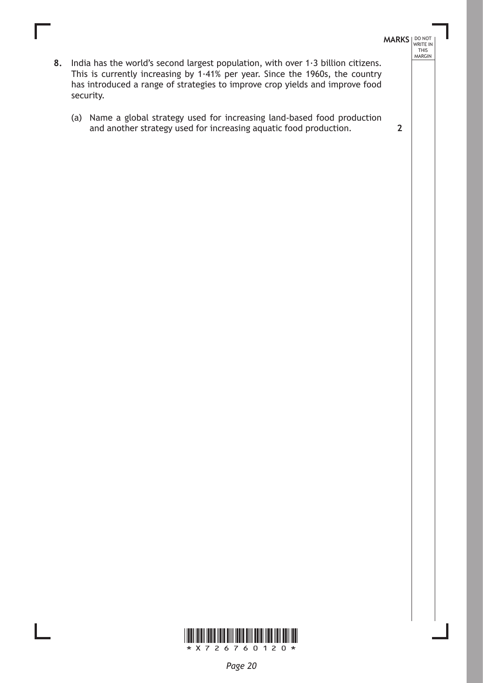- **MARKS** NO NOT THIS MARGIN
- **8.** India has the world's second largest population, with over 1·3 billion citizens. This is currently increasing by 1·41% per year. Since the 1960s, the country has introduced a range of strategies to improve crop yields and improve food security.
	- (a) Name a global strategy used for increasing land-based food production and another strategy used for increasing aquatic food production. **2**



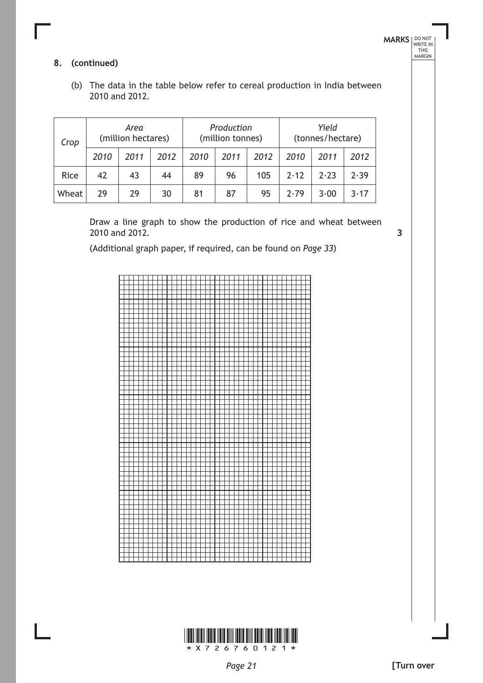**3**

### **8. (continued)**

(b) The data in the table below refer to cereal production in India between 2010 and 2012.

| Crop  | Area<br>(million hectares) |      | Production<br>(million tonnes) |      |      | Yield<br>(tonnes/hectare) |      |      |      |
|-------|----------------------------|------|--------------------------------|------|------|---------------------------|------|------|------|
|       | 2010                       | 2011 | 2012                           | 2010 | 2011 | 2012                      | 2010 | 2011 | 2012 |
| Rice  | 42                         | 43   | 44                             | 89   | 96   | 105                       | 7.17 | 2.23 | 2.39 |
| Wheat | 29                         | 29   | 30                             | 81   | 87   | 95                        | 7.79 | 3.00 | 3.17 |

Draw a line graph to show the production of rice and wheat between 2010 and 2012.

(Additional graph paper, if required, can be found on *Page 33*)



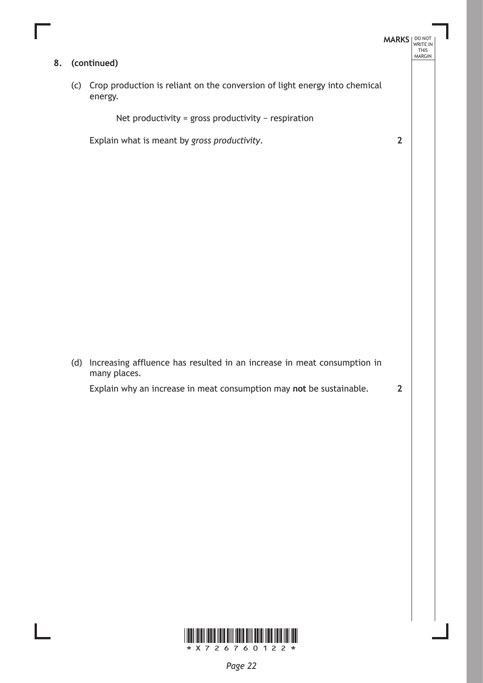**8. (continued)**

(c) Crop production is reliant on the conversion of light energy into chemical energy.

Net productivity = gross productivity − respiration

Explain what is meant by *gross productivity*.

(d) Increasing affluence has resulted in an increase in meat consumption in many places.

Explain why an increase in meat consumption may **not** be sustainable.

**2**

**MARKS** NO NOT

**2**

THIS MARGIN

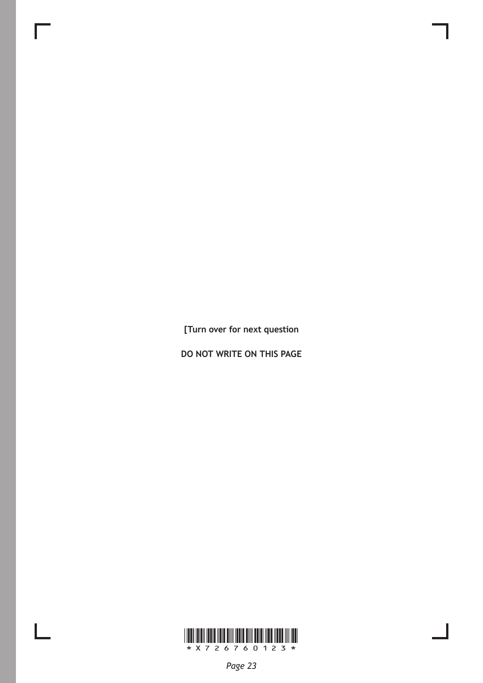**[Turn over for next question**

**do not write on this page**



 $\mathbb{R}$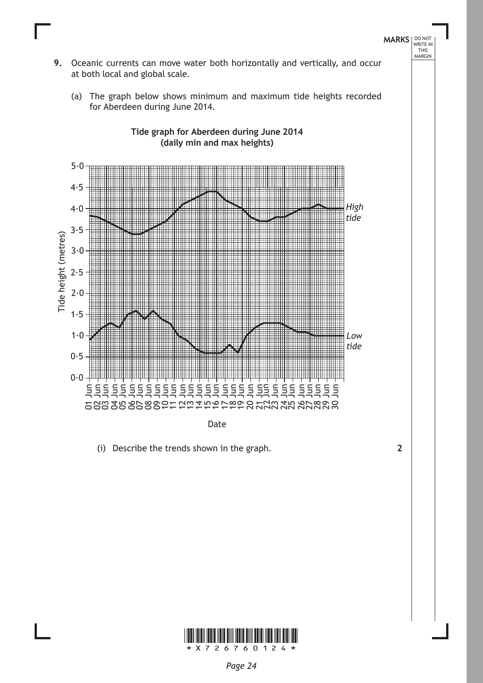

Date

(i) Describe the trends shown in the graph. **2**

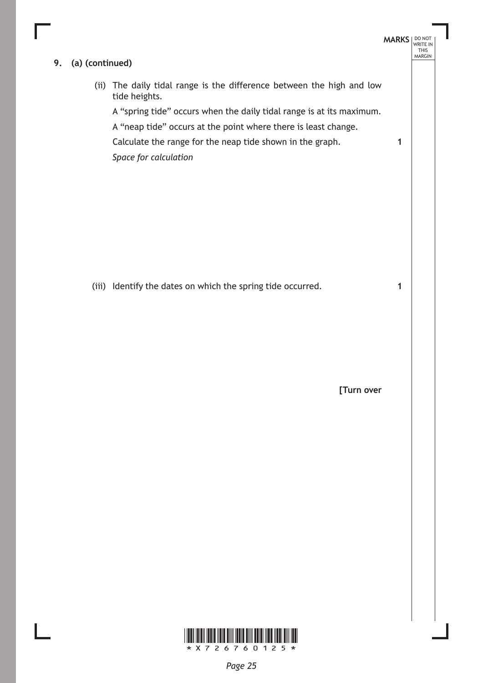#### **9. (a) (continued)**

(ii) The daily tidal range is the difference between the high and low tide heights.

A "spring tide" occurs when the daily tidal range is at its maximum.

A "neap tide" occurs at the point where there is least change.

Calculate the range for the neap tide shown in the graph.

*Space for calculation*

(iii) Identify the dates on which the spring tide occurred.

**[Turn over**

**MARKS** NO NOT

**1**

**1**

THIS MARGIN

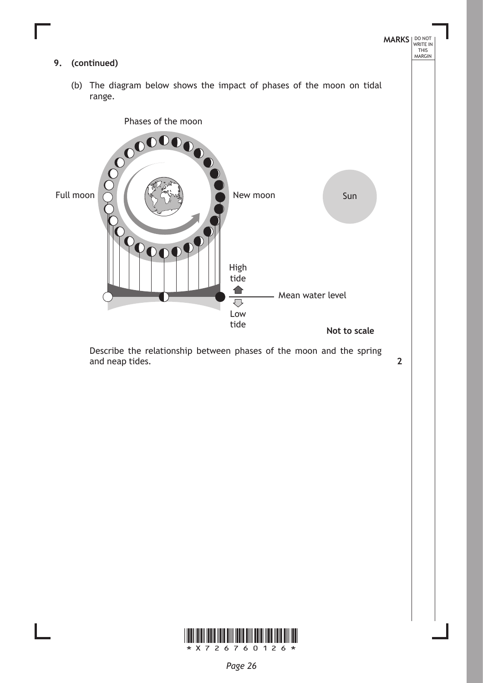

Describe the relationship between phases of the moon and the spring and neap tides. **2**



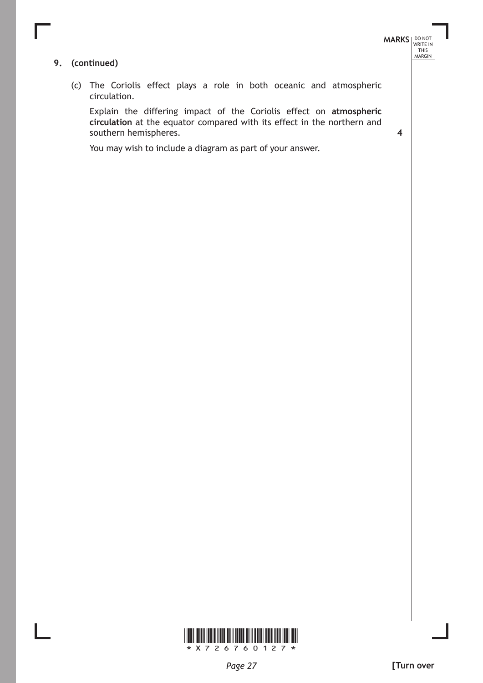## **MARKS** NO NOT THIS MARGIN

**4**

#### **9. (continued)**

(c) The Coriolis effect plays a role in both oceanic and atmospheric circulation.

Explain the differing impact of the Coriolis effect on **atmospheric circulation** at the equator compared with its effect in the northern and southern hemispheres.

You may wish to include a diagram as part of your answer.

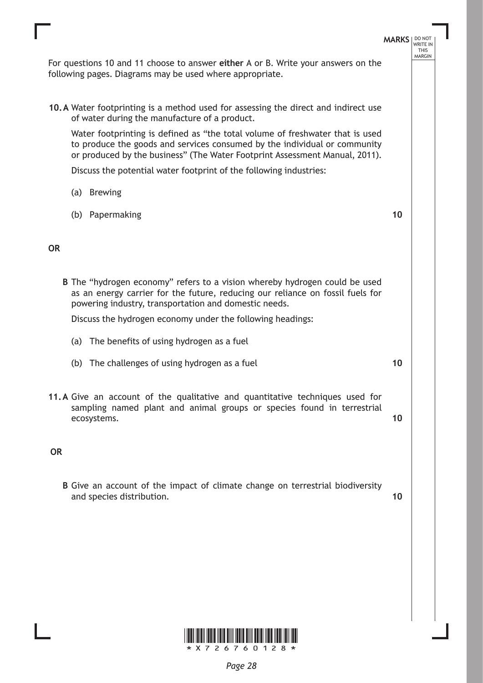

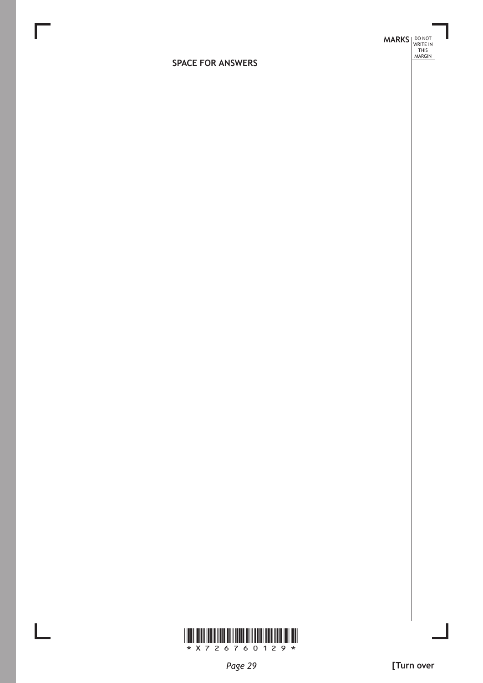**MARKS DO NOT
WRITE IN** <br>
THIS
MARGIN

### **SPACE FOR ANSWERS**

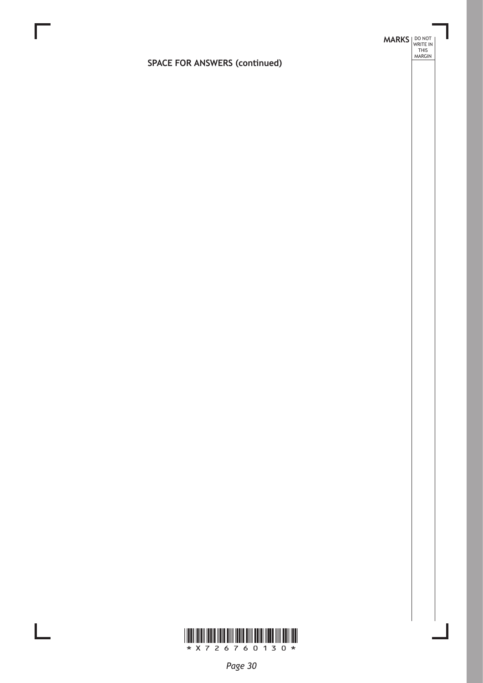## **SPACE FOR ANSWERS (continued)**

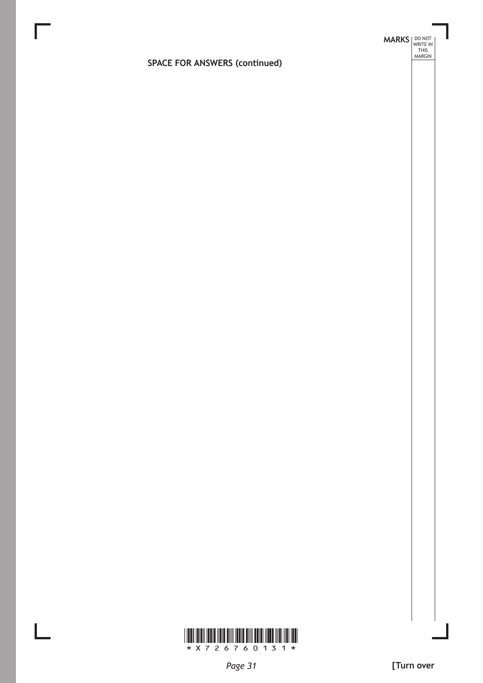# **MARKS DO NOT
WRITE IN** <br>
THIS
MARGIN

## **SPACE FOR ANSWERS (continued)**

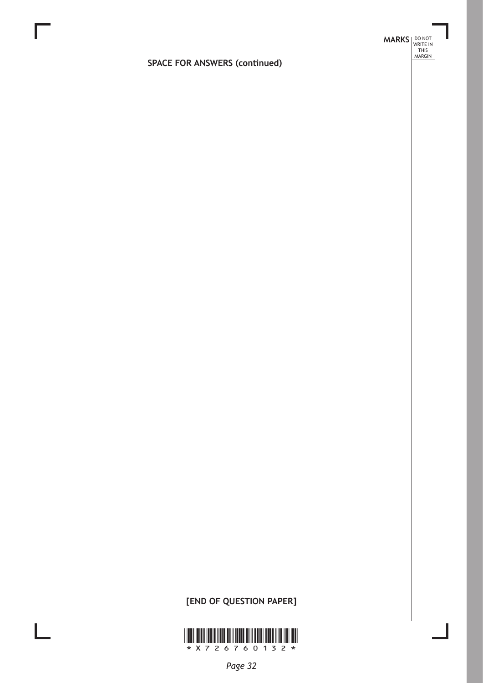## **SPACE FOR ANSWERS (continued)**

## **[END OF QUESTION PAPER]**

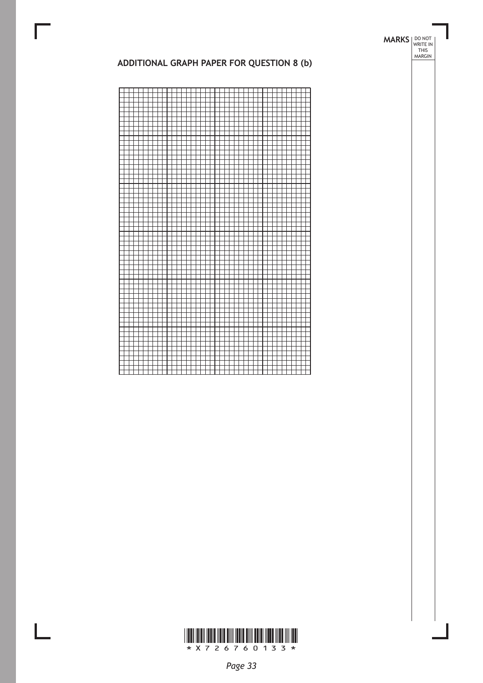#### **MARKS** NO NOT THIS MARGIN

#### **Additional graph paper for Question 8 (b)**



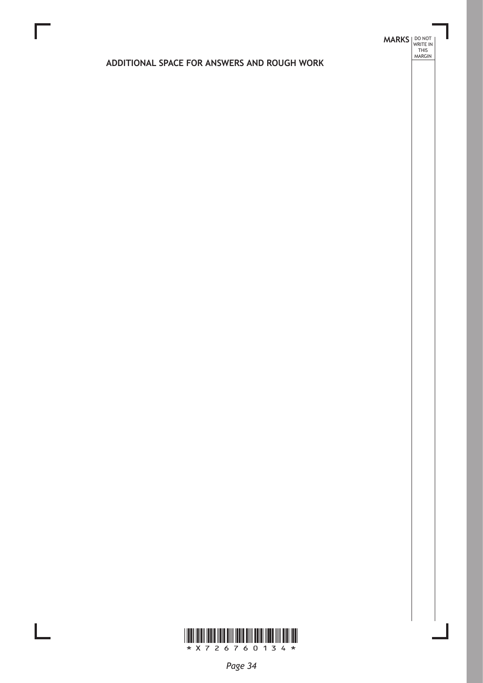## **MARKS DO NOT
WRITE IN** <br>
THIS
MARGIN

### **ADDITIONAL SPACE FOR ANSWERS AND ROUGH WORK**

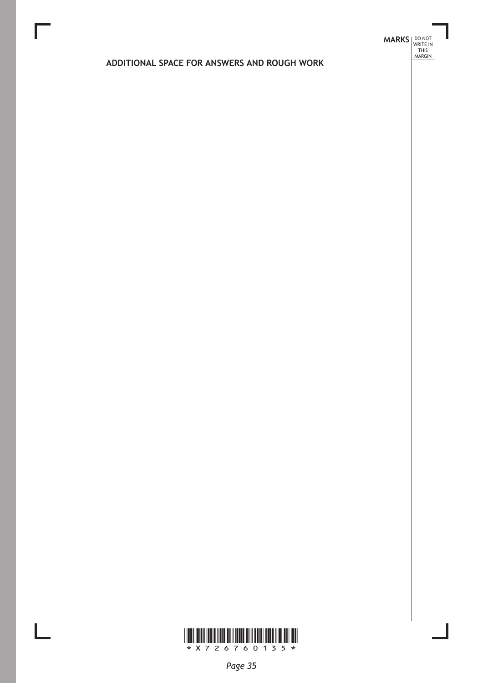## **MARKS DO NOT
WRITE IN** <br>
THIS
MARGIN

### **ADDITIONAL SPACE FOR ANSWERS AND ROUGH WORK**